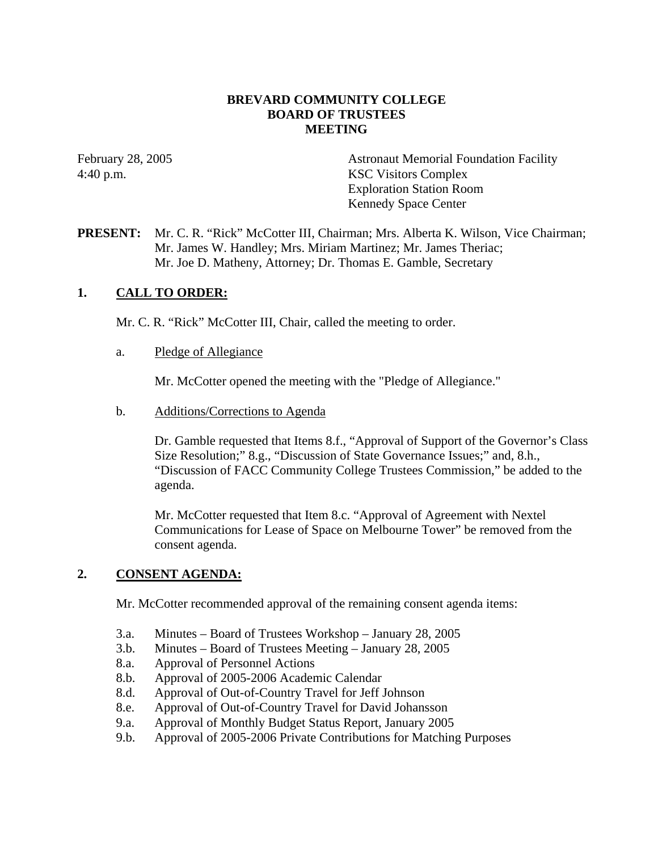## **BREVARD COMMUNITY COLLEGE BOARD OF TRUSTEES MEETING**

February 28, 2005 **Astronaut Memorial Foundation Facility** 4:40 p.m. KSC Visitors Complex Exploration Station Room Kennedy Space Center

# **PRESENT:** Mr. C. R. "Rick" McCotter III, Chairman; Mrs. Alberta K. Wilson, Vice Chairman; Mr. James W. Handley; Mrs. Miriam Martinez; Mr. James Theriac; Mr. Joe D. Matheny, Attorney; Dr. Thomas E. Gamble, Secretary

# **1. CALL TO ORDER:**

Mr. C. R. "Rick" McCotter III, Chair, called the meeting to order.

a. Pledge of Allegiance

Mr. McCotter opened the meeting with the "Pledge of Allegiance."

b. Additions/Corrections to Agenda

Dr. Gamble requested that Items 8.f., "Approval of Support of the Governor's Class Size Resolution;" 8.g., "Discussion of State Governance Issues;" and, 8.h., "Discussion of FACC Community College Trustees Commission," be added to the agenda.

Mr. McCotter requested that Item 8.c. "Approval of Agreement with Nextel Communications for Lease of Space on Melbourne Tower" be removed from the consent agenda.

## **2. CONSENT AGENDA:**

Mr. McCotter recommended approval of the remaining consent agenda items:

- 3.a. Minutes Board of Trustees Workshop January 28, 2005
- 3.b. Minutes Board of Trustees Meeting January 28, 2005
- 8.a. Approval of Personnel Actions
- 8.b. Approval of 2005-2006 Academic Calendar
- 8.d. Approval of Out-of-Country Travel for Jeff Johnson
- 8.e. Approval of Out-of-Country Travel for David Johansson
- 9.a. Approval of Monthly Budget Status Report, January 2005
- 9.b. Approval of 2005-2006 Private Contributions for Matching Purposes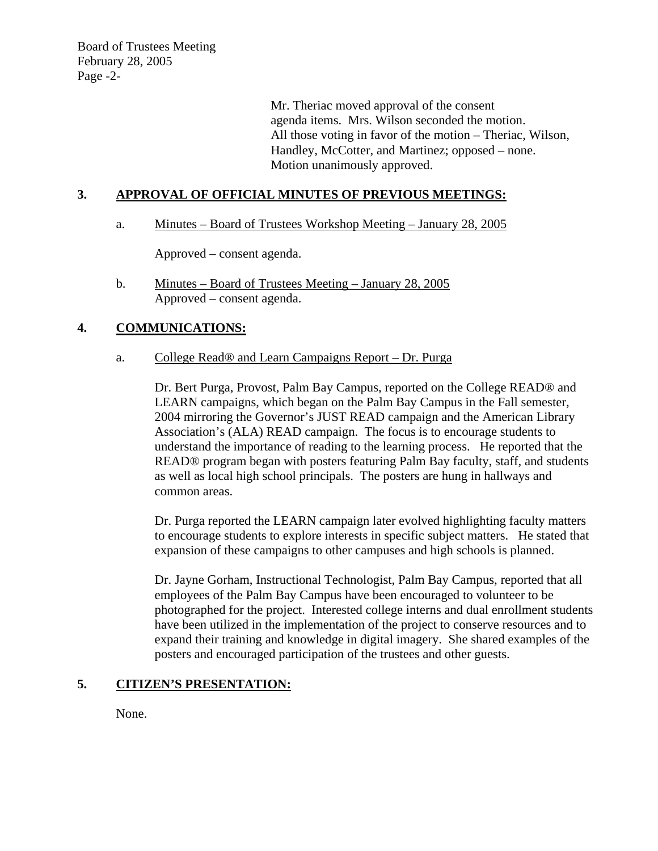Board of Trustees Meeting February 28, 2005 Page -2-

> Mr. Theriac moved approval of the consent agenda items. Mrs. Wilson seconded the motion. All those voting in favor of the motion – Theriac, Wilson, Handley, McCotter, and Martinez; opposed – none. Motion unanimously approved.

# **3. APPROVAL OF OFFICIAL MINUTES OF PREVIOUS MEETINGS:**

a. Minutes – Board of Trustees Workshop Meeting – January 28, 2005

Approved – consent agenda.

b. Minutes – Board of Trustees Meeting – January 28, 2005 Approved – consent agenda.

# **4. COMMUNICATIONS:**

## a. College Read® and Learn Campaigns Report – Dr. Purga

Dr. Bert Purga, Provost, Palm Bay Campus, reported on the College READ® and LEARN campaigns, which began on the Palm Bay Campus in the Fall semester, 2004 mirroring the Governor's JUST READ campaign and the American Library Association's (ALA) READ campaign. The focus is to encourage students to understand the importance of reading to the learning process. He reported that the READ® program began with posters featuring Palm Bay faculty, staff, and students as well as local high school principals. The posters are hung in hallways and common areas.

Dr. Purga reported the LEARN campaign later evolved highlighting faculty matters to encourage students to explore interests in specific subject matters. He stated that expansion of these campaigns to other campuses and high schools is planned.

Dr. Jayne Gorham, Instructional Technologist, Palm Bay Campus, reported that all employees of the Palm Bay Campus have been encouraged to volunteer to be photographed for the project. Interested college interns and dual enrollment students have been utilized in the implementation of the project to conserve resources and to expand their training and knowledge in digital imagery. She shared examples of the posters and encouraged participation of the trustees and other guests.

## **5. CITIZEN'S PRESENTATION:**

None.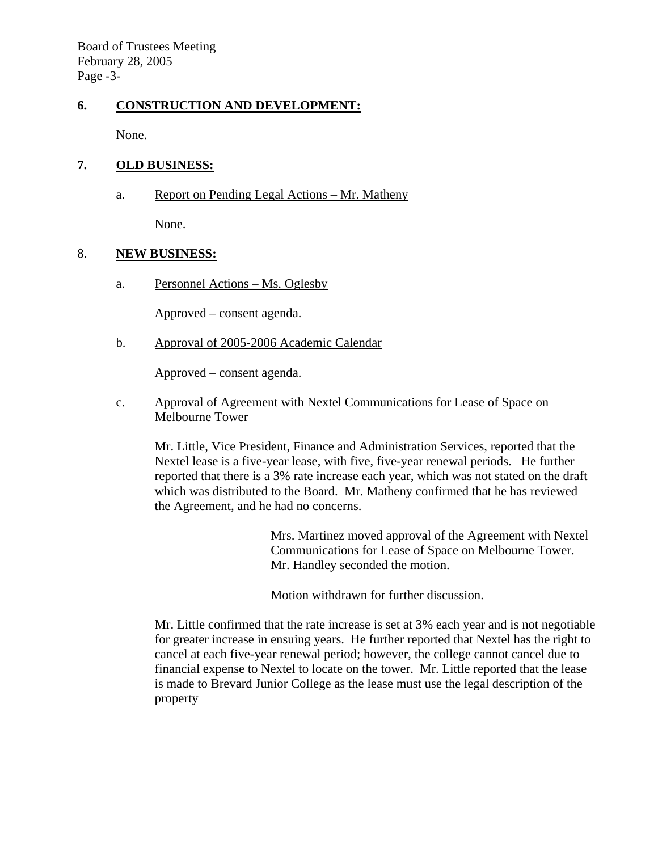Board of Trustees Meeting February 28, 2005 Page -3-

## **6. CONSTRUCTION AND DEVELOPMENT:**

None.

## **7. OLD BUSINESS:**

a. Report on Pending Legal Actions – Mr. Matheny

None.

## 8. **NEW BUSINESS:**

a. Personnel Actions – Ms. Oglesby

Approved – consent agenda.

b. Approval of 2005-2006 Academic Calendar

Approved – consent agenda.

 c. Approval of Agreement with Nextel Communications for Lease of Space on Melbourne Tower

Mr. Little, Vice President, Finance and Administration Services, reported that the Nextel lease is a five-year lease, with five, five-year renewal periods. He further reported that there is a 3% rate increase each year, which was not stated on the draft which was distributed to the Board. Mr. Matheny confirmed that he has reviewed the Agreement, and he had no concerns.

> Mrs. Martinez moved approval of the Agreement with Nextel Communications for Lease of Space on Melbourne Tower. Mr. Handley seconded the motion.

Motion withdrawn for further discussion.

Mr. Little confirmed that the rate increase is set at 3% each year and is not negotiable for greater increase in ensuing years. He further reported that Nextel has the right to cancel at each five-year renewal period; however, the college cannot cancel due to financial expense to Nextel to locate on the tower. Mr. Little reported that the lease is made to Brevard Junior College as the lease must use the legal description of the property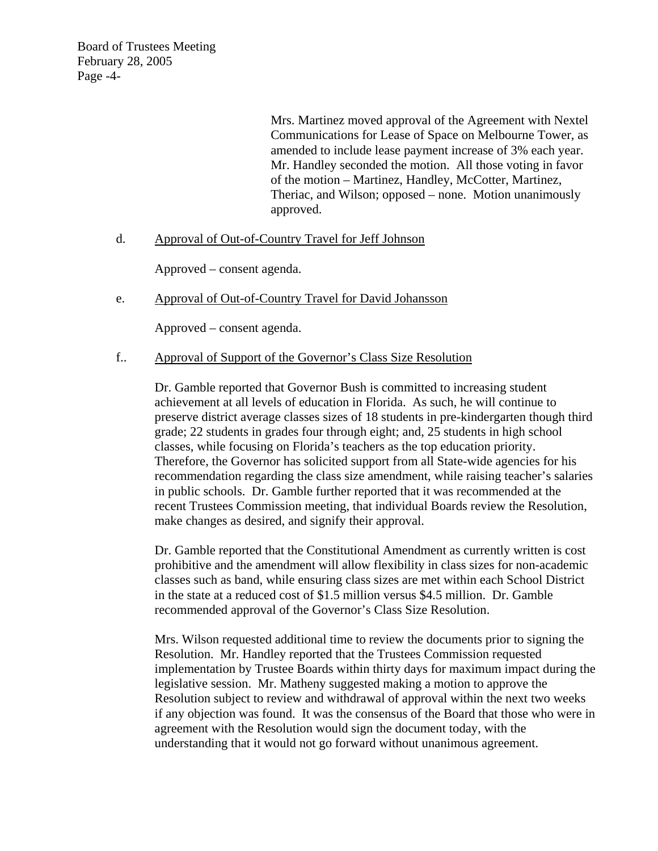Board of Trustees Meeting February 28, 2005 Page -4-

> Mrs. Martinez moved approval of the Agreement with Nextel Communications for Lease of Space on Melbourne Tower, as amended to include lease payment increase of 3% each year. Mr. Handley seconded the motion. All those voting in favor of the motion – Martinez, Handley, McCotter, Martinez, Theriac, and Wilson; opposed – none. Motion unanimously approved.

## d. Approval of Out-of-Country Travel for Jeff Johnson

Approved – consent agenda.

e. Approval of Out-of-Country Travel for David Johansson

Approved – consent agenda.

#### f.. Approval of Support of the Governor's Class Size Resolution

Dr. Gamble reported that Governor Bush is committed to increasing student achievement at all levels of education in Florida. As such, he will continue to preserve district average classes sizes of 18 students in pre-kindergarten though third grade; 22 students in grades four through eight; and, 25 students in high school classes, while focusing on Florida's teachers as the top education priority. Therefore, the Governor has solicited support from all State-wide agencies for his recommendation regarding the class size amendment, while raising teacher's salaries in public schools. Dr. Gamble further reported that it was recommended at the recent Trustees Commission meeting, that individual Boards review the Resolution, make changes as desired, and signify their approval.

Dr. Gamble reported that the Constitutional Amendment as currently written is cost prohibitive and the amendment will allow flexibility in class sizes for non-academic classes such as band, while ensuring class sizes are met within each School District in the state at a reduced cost of \$1.5 million versus \$4.5 million. Dr. Gamble recommended approval of the Governor's Class Size Resolution.

Mrs. Wilson requested additional time to review the documents prior to signing the Resolution. Mr. Handley reported that the Trustees Commission requested implementation by Trustee Boards within thirty days for maximum impact during the legislative session. Mr. Matheny suggested making a motion to approve the Resolution subject to review and withdrawal of approval within the next two weeks if any objection was found. It was the consensus of the Board that those who were in agreement with the Resolution would sign the document today, with the understanding that it would not go forward without unanimous agreement.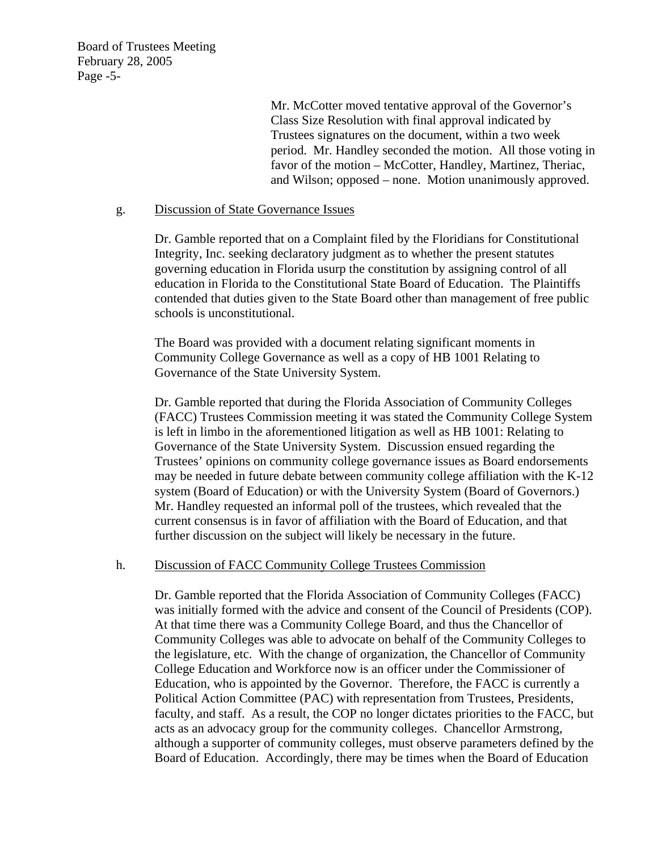Board of Trustees Meeting February 28, 2005 Page -5-

> Mr. McCotter moved tentative approval of the Governor's Class Size Resolution with final approval indicated by Trustees signatures on the document, within a two week period. Mr. Handley seconded the motion. All those voting in favor of the motion – McCotter, Handley, Martinez, Theriac, and Wilson; opposed – none. Motion unanimously approved.

#### g. Discussion of State Governance Issues

Dr. Gamble reported that on a Complaint filed by the Floridians for Constitutional Integrity, Inc. seeking declaratory judgment as to whether the present statutes governing education in Florida usurp the constitution by assigning control of all education in Florida to the Constitutional State Board of Education. The Plaintiffs contended that duties given to the State Board other than management of free public schools is unconstitutional.

The Board was provided with a document relating significant moments in Community College Governance as well as a copy of HB 1001 Relating to Governance of the State University System.

Dr. Gamble reported that during the Florida Association of Community Colleges (FACC) Trustees Commission meeting it was stated the Community College System is left in limbo in the aforementioned litigation as well as HB 1001: Relating to Governance of the State University System. Discussion ensued regarding the Trustees' opinions on community college governance issues as Board endorsements may be needed in future debate between community college affiliation with the K-12 system (Board of Education) or with the University System (Board of Governors.) Mr. Handley requested an informal poll of the trustees, which revealed that the current consensus is in favor of affiliation with the Board of Education, and that further discussion on the subject will likely be necessary in the future.

## h. Discussion of FACC Community College Trustees Commission

Dr. Gamble reported that the Florida Association of Community Colleges (FACC) was initially formed with the advice and consent of the Council of Presidents (COP). At that time there was a Community College Board, and thus the Chancellor of Community Colleges was able to advocate on behalf of the Community Colleges to the legislature, etc. With the change of organization, the Chancellor of Community College Education and Workforce now is an officer under the Commissioner of Education, who is appointed by the Governor. Therefore, the FACC is currently a Political Action Committee (PAC) with representation from Trustees, Presidents, faculty, and staff. As a result, the COP no longer dictates priorities to the FACC, but acts as an advocacy group for the community colleges. Chancellor Armstrong, although a supporter of community colleges, must observe parameters defined by the Board of Education. Accordingly, there may be times when the Board of Education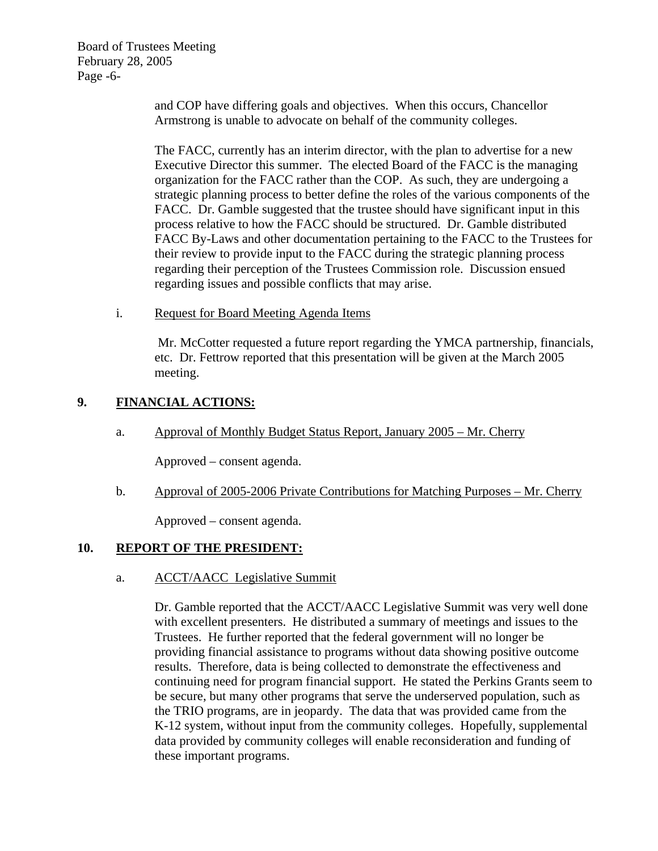Board of Trustees Meeting February 28, 2005 Page -6-

> and COP have differing goals and objectives. When this occurs, Chancellor Armstrong is unable to advocate on behalf of the community colleges.

The FACC, currently has an interim director, with the plan to advertise for a new Executive Director this summer. The elected Board of the FACC is the managing organization for the FACC rather than the COP. As such, they are undergoing a strategic planning process to better define the roles of the various components of the FACC. Dr. Gamble suggested that the trustee should have significant input in this process relative to how the FACC should be structured. Dr. Gamble distributed FACC By-Laws and other documentation pertaining to the FACC to the Trustees for their review to provide input to the FACC during the strategic planning process regarding their perception of the Trustees Commission role. Discussion ensued regarding issues and possible conflicts that may arise.

i. Request for Board Meeting Agenda Items

Mr. McCotter requested a future report regarding the YMCA partnership, financials, etc. Dr. Fettrow reported that this presentation will be given at the March 2005 meeting.

# **9. FINANCIAL ACTIONS:**

a. Approval of Monthly Budget Status Report, January 2005 – Mr. Cherry

Approved – consent agenda.

b. Approval of 2005-2006 Private Contributions for Matching Purposes – Mr. Cherry

Approved – consent agenda.

## **10. REPORT OF THE PRESIDENT:**

## a. ACCT/AACC Legislative Summit

Dr. Gamble reported that the ACCT/AACC Legislative Summit was very well done with excellent presenters. He distributed a summary of meetings and issues to the Trustees. He further reported that the federal government will no longer be providing financial assistance to programs without data showing positive outcome results. Therefore, data is being collected to demonstrate the effectiveness and continuing need for program financial support. He stated the Perkins Grants seem to be secure, but many other programs that serve the underserved population, such as the TRIO programs, are in jeopardy. The data that was provided came from the K-12 system, without input from the community colleges. Hopefully, supplemental data provided by community colleges will enable reconsideration and funding of these important programs.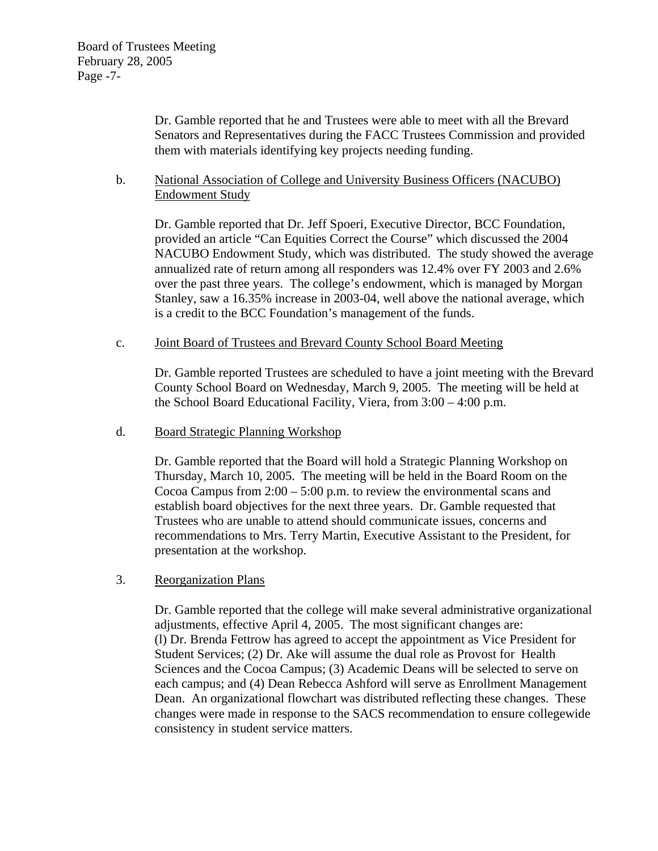Dr. Gamble reported that he and Trustees were able to meet with all the Brevard Senators and Representatives during the FACC Trustees Commission and provided them with materials identifying key projects needing funding.

## b. National Association of College and University Business Officers (NACUBO) Endowment Study

Dr. Gamble reported that Dr. Jeff Spoeri, Executive Director, BCC Foundation, provided an article "Can Equities Correct the Course" which discussed the 2004 NACUBO Endowment Study, which was distributed. The study showed the average annualized rate of return among all responders was 12.4% over FY 2003 and 2.6% over the past three years. The college's endowment, which is managed by Morgan Stanley, saw a 16.35% increase in 2003-04, well above the national average, which is a credit to the BCC Foundation's management of the funds.

#### c. Joint Board of Trustees and Brevard County School Board Meeting

Dr. Gamble reported Trustees are scheduled to have a joint meeting with the Brevard County School Board on Wednesday, March 9, 2005. The meeting will be held at the School Board Educational Facility, Viera, from 3:00 – 4:00 p.m.

#### d. Board Strategic Planning Workshop

Dr. Gamble reported that the Board will hold a Strategic Planning Workshop on Thursday, March 10, 2005. The meeting will be held in the Board Room on the Cocoa Campus from  $2:00 - 5:00$  p.m. to review the environmental scans and establish board objectives for the next three years. Dr. Gamble requested that Trustees who are unable to attend should communicate issues, concerns and recommendations to Mrs. Terry Martin, Executive Assistant to the President, for presentation at the workshop.

## 3. Reorganization Plans

 Dr. Gamble reported that the college will make several administrative organizational adjustments, effective April 4, 2005. The most significant changes are: (l) Dr. Brenda Fettrow has agreed to accept the appointment as Vice President for Student Services; (2) Dr. Ake will assume the dual role as Provost for Health Sciences and the Cocoa Campus; (3) Academic Deans will be selected to serve on each campus; and (4) Dean Rebecca Ashford will serve as Enrollment Management Dean. An organizational flowchart was distributed reflecting these changes. These changes were made in response to the SACS recommendation to ensure collegewide consistency in student service matters.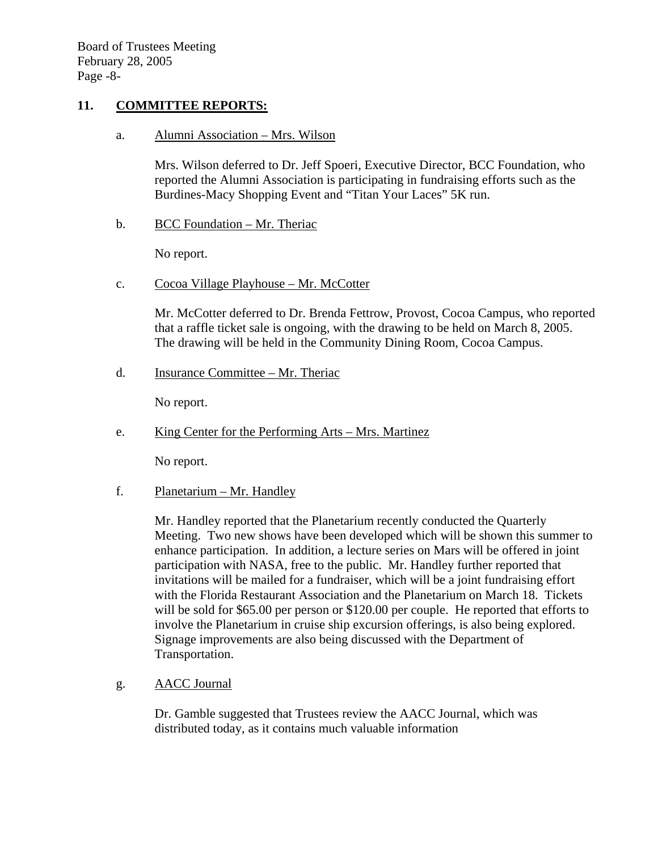## **11. COMMITTEE REPORTS:**

a. Alumni Association – Mrs. Wilson

Mrs. Wilson deferred to Dr. Jeff Spoeri, Executive Director, BCC Foundation, who reported the Alumni Association is participating in fundraising efforts such as the Burdines-Macy Shopping Event and "Titan Your Laces" 5K run.

b. BCC Foundation – Mr. Theriac

No report.

c. Cocoa Village Playhouse – Mr. McCotter

Mr. McCotter deferred to Dr. Brenda Fettrow, Provost, Cocoa Campus, who reported that a raffle ticket sale is ongoing, with the drawing to be held on March 8, 2005. The drawing will be held in the Community Dining Room, Cocoa Campus.

d. Insurance Committee – Mr. Theriac

No report.

e. King Center for the Performing Arts – Mrs. Martinez

No report.

f. Planetarium – Mr. Handley

Mr. Handley reported that the Planetarium recently conducted the Quarterly Meeting. Two new shows have been developed which will be shown this summer to enhance participation. In addition, a lecture series on Mars will be offered in joint participation with NASA, free to the public. Mr. Handley further reported that invitations will be mailed for a fundraiser, which will be a joint fundraising effort with the Florida Restaurant Association and the Planetarium on March 18. Tickets will be sold for \$65.00 per person or \$120.00 per couple. He reported that efforts to involve the Planetarium in cruise ship excursion offerings, is also being explored. Signage improvements are also being discussed with the Department of Transportation.

g. AACC Journal

Dr. Gamble suggested that Trustees review the AACC Journal, which was distributed today, as it contains much valuable information